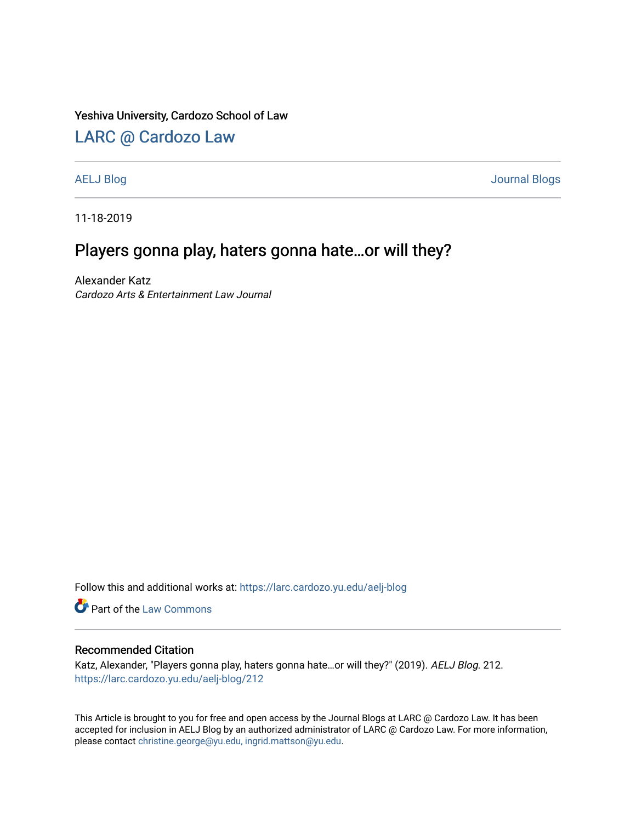### Yeshiva University, Cardozo School of Law

## [LARC @ Cardozo Law](https://larc.cardozo.yu.edu/)

[AELJ Blog](https://larc.cardozo.yu.edu/aelj-blog) [Journal Blogs](https://larc.cardozo.yu.edu/journal-blogs) 

11-18-2019

## Players gonna play, haters gonna hate…or will they?

Alexander Katz Cardozo Arts & Entertainment Law Journal

Follow this and additional works at: [https://larc.cardozo.yu.edu/aelj-blog](https://larc.cardozo.yu.edu/aelj-blog?utm_source=larc.cardozo.yu.edu%2Faelj-blog%2F212&utm_medium=PDF&utm_campaign=PDFCoverPages) 

Part of the [Law Commons](http://network.bepress.com/hgg/discipline/578?utm_source=larc.cardozo.yu.edu%2Faelj-blog%2F212&utm_medium=PDF&utm_campaign=PDFCoverPages)

### Recommended Citation

Katz, Alexander, "Players gonna play, haters gonna hate…or will they?" (2019). AELJ Blog. 212. [https://larc.cardozo.yu.edu/aelj-blog/212](https://larc.cardozo.yu.edu/aelj-blog/212?utm_source=larc.cardozo.yu.edu%2Faelj-blog%2F212&utm_medium=PDF&utm_campaign=PDFCoverPages) 

This Article is brought to you for free and open access by the Journal Blogs at LARC @ Cardozo Law. It has been accepted for inclusion in AELJ Blog by an authorized administrator of LARC @ Cardozo Law. For more information, please contact [christine.george@yu.edu, ingrid.mattson@yu.edu.](mailto:christine.george@yu.edu,%20ingrid.mattson@yu.edu)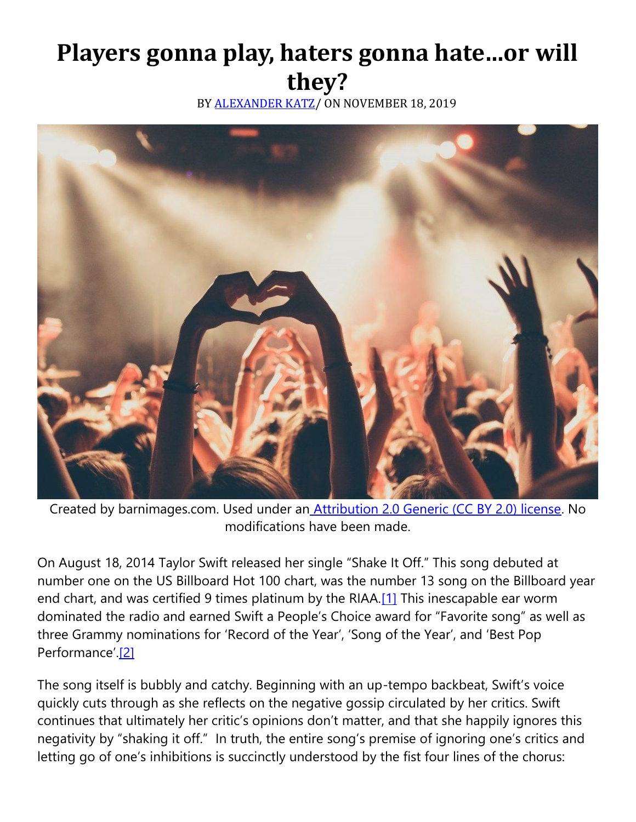# **Players gonna play, haters gonna hate…or will they?**

BY [ALEXANDER KATZ/](https://cardozoaelj.com/author/alexander-katz/) ON NOVEMBER 18, 2019



Created by barnimages.com. Used under an [Attribution 2.0 Generic \(CC BY 2.0\) license.](https://creativecommons.org/licenses/by/2.0/) No modifications have been made.

On August 18, 2014 Taylor Swift released her single "Shake It Off." This song debuted at number one on the US Billboard Hot 100 chart, was the number 13 song on the Billboard year end chart, and was certified 9 times platinum by the RIAA.<sup>[1]</sup> This inescapable ear worm dominated the radio and earned Swift a People's Choice award for "Favorite song" as well as three Grammy nominations for 'Record of the Year', 'Song of the Year', and 'Best Pop Performance'.[\[2\]](https://cardozoaelj.com/2019/11/18/players-gonna-play-haters-gonna-hateor-will-they/#_ftn2)

The song itself is bubbly and catchy. Beginning with an up-tempo backbeat, Swift's voice quickly cuts through as she reflects on the negative gossip circulated by her critics. Swift continues that ultimately her critic's opinions don't matter, and that she happily ignores this negativity by "shaking it off." In truth, the entire song's premise of ignoring one's critics and letting go of one's inhibitions is succinctly understood by the fist four lines of the chorus: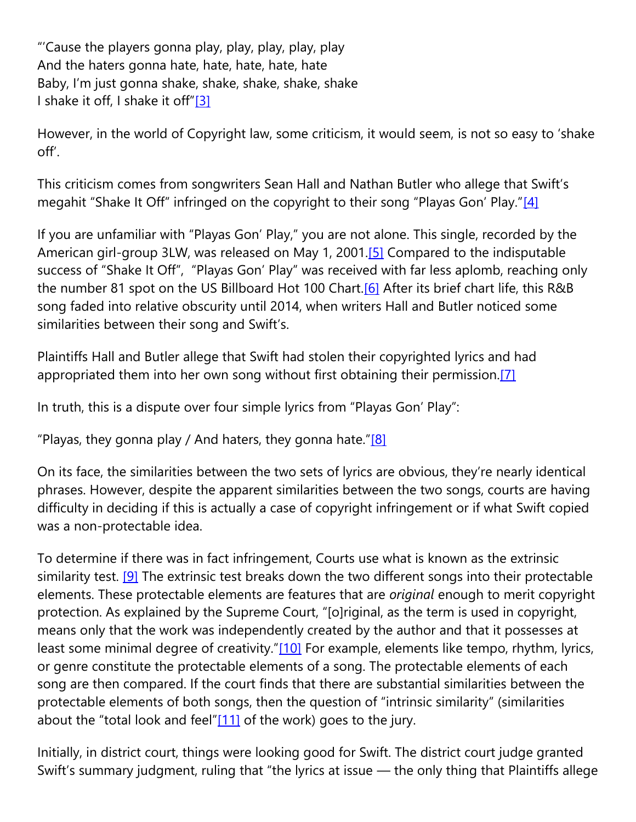"'Cause the players gonna play, play, play, play, play And the haters gonna hate, hate, hate, hate, hate Baby, I'm just gonna shake, shake, shake, shake, shake I shake it off, I shake it off"[\[3\]](https://cardozoaelj.com/2019/11/18/players-gonna-play-haters-gonna-hateor-will-they/#_ftn3)

However, in the world of Copyright law, some criticism, it would seem, is not so easy to 'shake off'.

This criticism comes from songwriters Sean Hall and Nathan Butler who allege that Swift's megahit "Shake It Off" infringed on the copyright to their song "Playas Gon' Play."[\[4\]](https://cardozoaelj.com/2019/11/18/players-gonna-play-haters-gonna-hateor-will-they/#_ftn4)

If you are unfamiliar with "Playas Gon' Play," you are not alone. This single, recorded by the American girl-group 3LW, was released on May 1, 2001[.\[5\]](https://cardozoaelj.com/2019/11/18/players-gonna-play-haters-gonna-hateor-will-they/#_ftn5) Compared to the indisputable success of "Shake It Off", "Playas Gon' Play" was received with far less aplomb, reaching only the number 81 spot on the US Billboard Hot 100 Chart.<sup>[6]</sup> After its brief chart life, this R&B song faded into relative obscurity until 2014, when writers Hall and Butler noticed some similarities between their song and Swift's.

Plaintiffs Hall and Butler allege that Swift had stolen their copyrighted lyrics and had appropriated them into her own song without first obtaining their permission.<sup>[7]</sup>

In truth, this is a dispute over four simple lyrics from "Playas Gon' Play":

"Playas, they gonna play / And haters, they gonna hate." $[8]$ 

On its face, the similarities between the two sets of lyrics are obvious, they're nearly identical phrases. However, despite the apparent similarities between the two songs, courts are having difficulty in deciding if this is actually a case of copyright infringement or if what Swift copied was a non-protectable idea.

To determine if there was in fact infringement, Courts use what is known as the extrinsic similarity test. [\[9\]](https://cardozoaelj.com/2019/11/18/players-gonna-play-haters-gonna-hateor-will-they/#_ftn9) The extrinsic test breaks down the two different songs into their protectable elements. These protectable elements are features that are *original* enough to merit copyright protection. As explained by the Supreme Court, "[o]riginal, as the term is used in copyright, means only that the work was independently created by the author and that it possesses at least some minimal degree of creativity."[\[10\]](https://cardozoaelj.com/2019/11/18/players-gonna-play-haters-gonna-hateor-will-they/#_ftn10) For example, elements like tempo, rhythm, lyrics, or genre constitute the protectable elements of a song. The protectable elements of each song are then compared. If the court finds that there are substantial similarities between the protectable elements of both songs, then the question of "intrinsic similarity" (similarities about the "total look and feel" $[11]$  of the work) goes to the jury.

Initially, in district court, things were looking good for Swift. The district court judge granted Swift's summary judgment, ruling that "the lyrics at issue — the only thing that Plaintiffs allege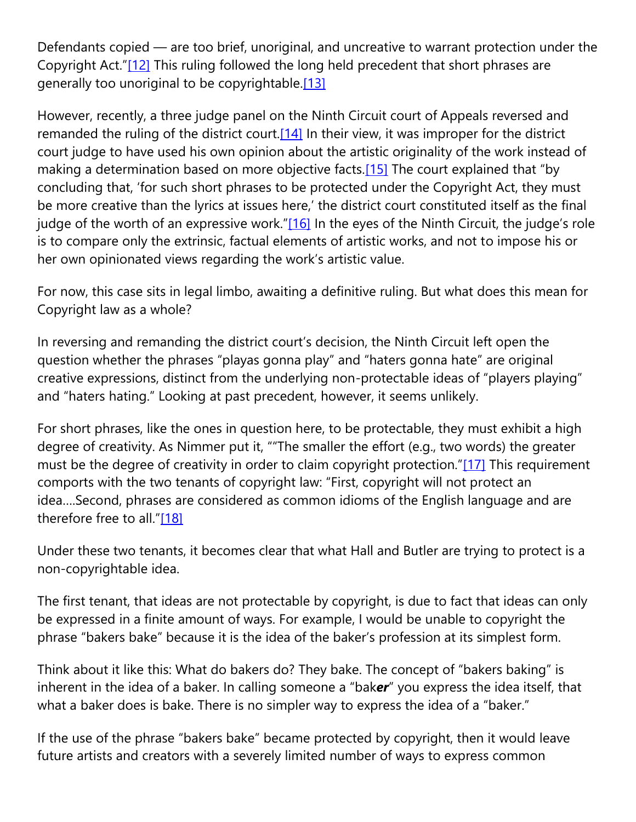Defendants copied — are too brief, unoriginal, and uncreative to warrant protection under the Copyright Act."[\[12\]](https://cardozoaelj.com/2019/11/18/players-gonna-play-haters-gonna-hateor-will-they/#_ftn12) This ruling followed the long held precedent that short phrases are generally too unoriginal to be copyrightable.<sup>[13]</sup>

However, recently, a three judge panel on the Ninth Circuit court of Appeals reversed and remanded the ruling of the district court.<sup>[14]</sup> In their view, it was improper for the district court judge to have used his own opinion about the artistic originality of the work instead of making a determination based on more objective facts.<sup>[15]</sup> The court explained that "by concluding that, 'for such short phrases to be protected under the Copyright Act, they must be more creative than the lyrics at issues here,' the district court constituted itself as the final judge of the worth of an expressive work."[\[16\]](https://cardozoaelj.com/2019/11/18/players-gonna-play-haters-gonna-hateor-will-they/#_ftn16) In the eyes of the Ninth Circuit, the judge's role is to compare only the extrinsic, factual elements of artistic works, and not to impose his or her own opinionated views regarding the work's artistic value.

For now, this case sits in legal limbo, awaiting a definitive ruling. But what does this mean for Copyright law as a whole?

In reversing and remanding the district court's decision, the Ninth Circuit left open the question whether the phrases "playas gonna play" and "haters gonna hate" are original creative expressions, distinct from the underlying non-protectable ideas of "players playing" and "haters hating." Looking at past precedent, however, it seems unlikely.

For short phrases, like the ones in question here, to be protectable, they must exhibit a high degree of creativity. As Nimmer put it, ""The smaller the effort (e.g., two words) the greater must be the degree of creativity in order to claim copyright protection."[\[17\]](https://cardozoaelj.com/2019/11/18/players-gonna-play-haters-gonna-hateor-will-they/#_ftn17) This requirement comports with the two tenants of copyright law: "First, copyright will not protect an idea….Second, phrases are considered as common idioms of the English language and are therefore free to all."[\[18\]](https://cardozoaelj.com/2019/11/18/players-gonna-play-haters-gonna-hateor-will-they/#_ftn18)

Under these two tenants, it becomes clear that what Hall and Butler are trying to protect is a non-copyrightable idea.

The first tenant, that ideas are not protectable by copyright, is due to fact that ideas can only be expressed in a finite amount of ways. For example, I would be unable to copyright the phrase "bakers bake" because it is the idea of the baker's profession at its simplest form.

Think about it like this: What do bakers do? They bake. The concept of "bakers baking" is inherent in the idea of a baker. In calling someone a "bak*er*" you express the idea itself, that what a baker does is bake. There is no simpler way to express the idea of a "baker."

If the use of the phrase "bakers bake" became protected by copyright, then it would leave future artists and creators with a severely limited number of ways to express common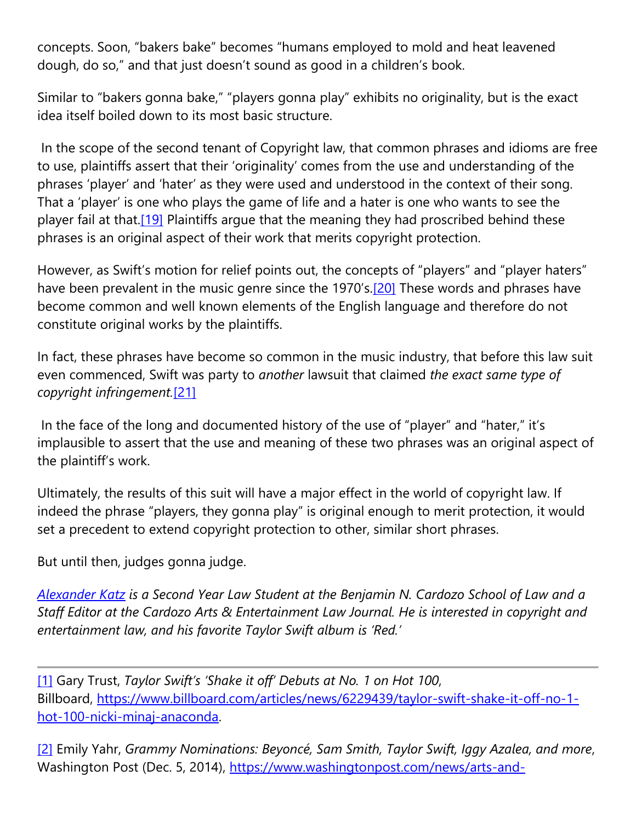concepts. Soon, "bakers bake" becomes "humans employed to mold and heat leavened dough, do so," and that just doesn't sound as good in a children's book.

Similar to "bakers gonna bake," "players gonna play" exhibits no originality, but is the exact idea itself boiled down to its most basic structure.

In the scope of the second tenant of Copyright law, that common phrases and idioms are free to use, plaintiffs assert that their 'originality' comes from the use and understanding of the phrases 'player' and 'hater' as they were used and understood in the context of their song. That a 'player' is one who plays the game of life and a hater is one who wants to see the player fail at that.<sup>[19]</sup> Plaintiffs argue that the meaning they had proscribed behind these phrases is an original aspect of their work that merits copyright protection.

However, as Swift's motion for relief points out, the concepts of "players" and "player haters" have been prevalent in the music genre since the 1970's.<sup>[\[20\]](https://cardozoaelj.com/2019/11/18/players-gonna-play-haters-gonna-hateor-will-they/#_ftn20)</sup> These words and phrases have become common and well known elements of the English language and therefore do not constitute original works by the plaintiffs.

In fact, these phrases have become so common in the music industry, that before this law suit even commenced, Swift was party to *another* lawsuit that claimed *the exact same type of copyright infringement.*[\[21\]](https://cardozoaelj.com/2019/11/18/players-gonna-play-haters-gonna-hateor-will-they/#_ftn21)

In the face of the long and documented history of the use of "player" and "hater," it's implausible to assert that the use and meaning of these two phrases was an original aspect of the plaintiff's work.

Ultimately, the results of this suit will have a major effect in the world of copyright law. If indeed the phrase "players, they gonna play" is original enough to merit protection, it would set a precedent to extend copyright protection to other, similar short phrases.

But until then, judges gonna judge.

*[Alexander](https://www.linkedin.com/in/alexander-katz-55a1bbb6/) Katz is a Second Year Law Student at the Benjamin N. Cardozo School of Law and a Staff Editor at the Cardozo Arts & Entertainment Law Journal. He is interested in copyright and entertainment law, and his favorite Taylor Swift album is 'Red.'*

[\[1\]](https://cardozoaelj.com/2019/11/18/players-gonna-play-haters-gonna-hateor-will-they/#_ftnref1) Gary Trust, *Taylor Swift's 'Shake it off' Debuts at No. 1 on Hot 100*, Billboard, [https://www.billboard.com/articles/news/6229439/taylor-swift-shake-it-off-no-1](https://www.billboard.com/articles/news/6229439/taylor-swift-shake-it-off-no-1-hot-100-nicki-minaj-anaconda) [hot-100-nicki-minaj-anaconda.](https://www.billboard.com/articles/news/6229439/taylor-swift-shake-it-off-no-1-hot-100-nicki-minaj-anaconda)

[\[2\]](https://cardozoaelj.com/2019/11/18/players-gonna-play-haters-gonna-hateor-will-they/#_ftnref2) Emily Yahr, *Grammy Nominations: Beyoncé, Sam Smith, Taylor Swift, Iggy Azalea, and more*, Washington Post (Dec. 5, 2014), [https://www.washingtonpost.com/news/arts-and-](https://www.washingtonpost.com/news/arts-and-entertainment/wp/2014/12/05/grammy-nominations-a-strange-way-to-announce-musics-biggest-awards/?arc404=true)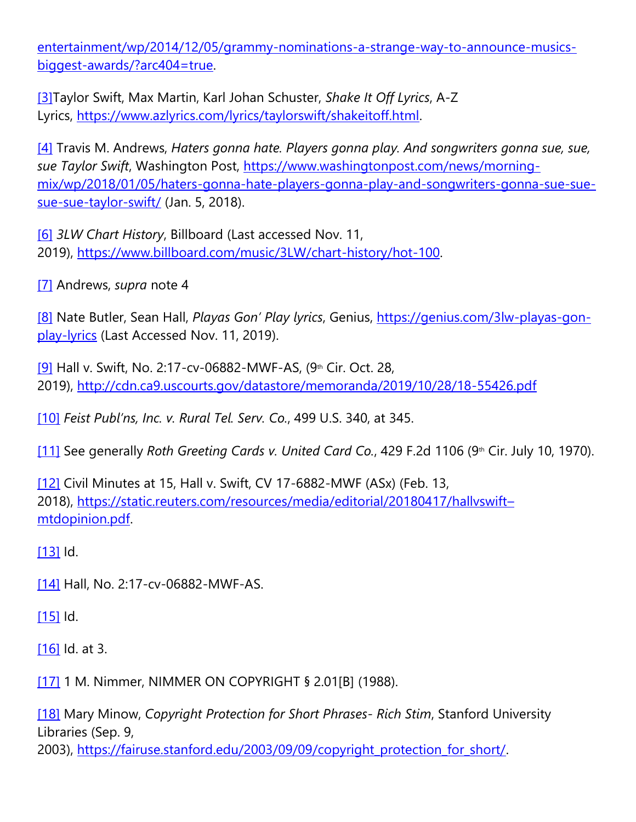[entertainment/wp/2014/12/05/grammy-nominations-a-strange-way-to-announce-musics](https://www.washingtonpost.com/news/arts-and-entertainment/wp/2014/12/05/grammy-nominations-a-strange-way-to-announce-musics-biggest-awards/?arc404=true)[biggest-awards/?arc404=true.](https://www.washingtonpost.com/news/arts-and-entertainment/wp/2014/12/05/grammy-nominations-a-strange-way-to-announce-musics-biggest-awards/?arc404=true)

[\[3\]T](https://cardozoaelj.com/2019/11/18/players-gonna-play-haters-gonna-hateor-will-they/#_ftnref3)aylor Swift, Max Martin, Karl Johan Schuster, *Shake It Off Lyrics*, A-Z Lyrics, [https://www.azlyrics.com/lyrics/taylorswift/shakeitoff.html.](https://www.azlyrics.com/lyrics/taylorswift/shakeitoff.html)

[\[4\]](https://cardozoaelj.com/2019/11/18/players-gonna-play-haters-gonna-hateor-will-they/#_ftnref4) Travis M. Andrews, *Haters gonna hate. Players gonna play. And songwriters gonna sue, sue, sue Taylor Swift*, Washington Post, [https://www.washingtonpost.com/news/morning](https://www.washingtonpost.com/news/morning-mix/wp/2018/01/05/haters-gonna-hate-players-gonna-play-and-songwriters-gonna-sue-sue-sue-sue-taylor-swift/)[mix/wp/2018/01/05/haters-gonna-hate-players-gonna-play-and-songwriters-gonna-sue-sue](https://www.washingtonpost.com/news/morning-mix/wp/2018/01/05/haters-gonna-hate-players-gonna-play-and-songwriters-gonna-sue-sue-sue-sue-taylor-swift/)[sue-sue-taylor-swift/](https://www.washingtonpost.com/news/morning-mix/wp/2018/01/05/haters-gonna-hate-players-gonna-play-and-songwriters-gonna-sue-sue-sue-sue-taylor-swift/) (Jan. 5, 2018).

[\[6\]](https://cardozoaelj.com/2019/11/18/players-gonna-play-haters-gonna-hateor-will-they/#_ftnref6) *3LW Chart History*, Billboard (Last accessed Nov. 11, 2019), [https://www.billboard.com/music/3LW/chart-history/hot-100.](https://www.billboard.com/music/3LW/chart-history/hot-100)

[\[7\]](https://cardozoaelj.com/2019/11/18/players-gonna-play-haters-gonna-hateor-will-they/#_ftnref7) Andrews, *supra* note 4

[\[8\]](https://cardozoaelj.com/2019/11/18/players-gonna-play-haters-gonna-hateor-will-they/#_ftnref8) Nate Butler, Sean Hall, *Playas Gon' Play lyrics*, Genius, [https://genius.com/3lw-playas-gon](https://genius.com/3lw-playas-gon-play-lyrics)[play-lyrics](https://genius.com/3lw-playas-gon-play-lyrics) (Last Accessed Nov. 11, 2019).

[\[9\]](https://cardozoaelj.com/2019/11/18/players-gonna-play-haters-gonna-hateor-will-they/#_ftnref9) Hall v. Swift, No. 2:17-cv-06882-MWF-AS, (9th Cir. Oct. 28, 2019), <http://cdn.ca9.uscourts.gov/datastore/memoranda/2019/10/28/18-55426.pdf>

[\[10\]](https://cardozoaelj.com/2019/11/18/players-gonna-play-haters-gonna-hateor-will-they/#_ftnref10) *Feist Publ'ns, Inc. v. Rural Tel. Serv. Co.*, 499 U.S. 340, at 345.

[\[11\]](https://cardozoaelj.com/2019/11/18/players-gonna-play-haters-gonna-hateor-will-they/#_ftnref11) See generally *Roth Greeting Cards v. United Card Co.*, 429 F.2d 1106 (9th Cir. July 10, 1970).

[\[12\]](https://cardozoaelj.com/2019/11/18/players-gonna-play-haters-gonna-hateor-will-they/#_ftnref12) Civil Minutes at 15, Hall v. Swift, CV 17-6882-MWF (ASx) (Feb. 13, 2018), [https://static.reuters.com/resources/media/editorial/20180417/hallvswift](https://static.reuters.com/resources/media/editorial/20180417/hallvswift--mtdopinion.pdf)– [mtdopinion.pdf.](https://static.reuters.com/resources/media/editorial/20180417/hallvswift--mtdopinion.pdf)

[\[13\]](https://cardozoaelj.com/2019/11/18/players-gonna-play-haters-gonna-hateor-will-they/#_ftnref13) Id.

[\[14\]](https://cardozoaelj.com/2019/11/18/players-gonna-play-haters-gonna-hateor-will-they/#_ftnref14) Hall, No. 2:17-cv-06882-MWF-AS.

[\[15\]](https://cardozoaelj.com/2019/11/18/players-gonna-play-haters-gonna-hateor-will-they/#_ftnref15) Id.

[\[16\]](https://cardozoaelj.com/2019/11/18/players-gonna-play-haters-gonna-hateor-will-they/#_ftnref16) Id. at 3.

[\[17\]](https://cardozoaelj.com/2019/11/18/players-gonna-play-haters-gonna-hateor-will-they/#_ftnref17) 1 M. Nimmer, NIMMER ON COPYRIGHT § 2.01[B] (1988).

[\[18\]](https://cardozoaelj.com/2019/11/18/players-gonna-play-haters-gonna-hateor-will-they/#_ftnref18) Mary Minow, *Copyright Protection for Short Phrases- Rich Stim*, Stanford University Libraries (Sep. 9,

2003), [https://fairuse.stanford.edu/2003/09/09/copyright\\_protection\\_for\\_short/.](https://fairuse.stanford.edu/2003/09/09/copyright_protection_for_short/)